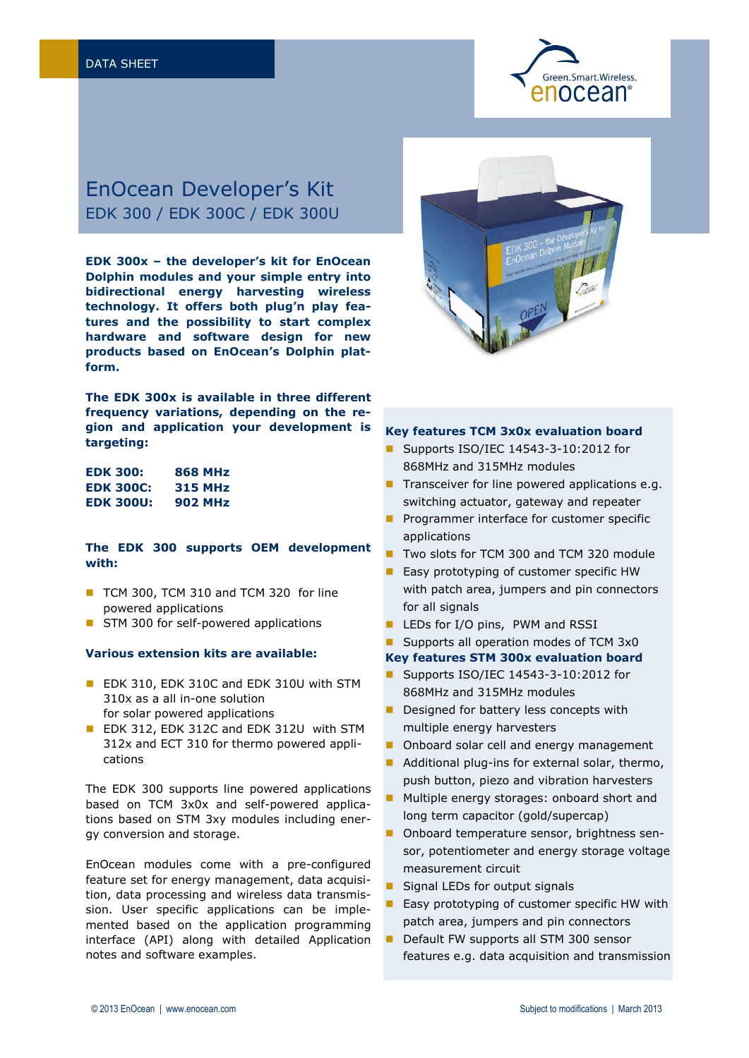

# EnOcean Developer's Kit EDK 300 / EDK 300C / EDK 300U

**EDK 300x – the developer's kit for EnOcean Dolphin modules and your simple entry into bidirectional energy harvesting wireless technology. It offers both plug'n play features and the possibility to start complex hardware and software design for new products based on EnOcean's Dolphin platform.**

**The EDK 300x is available in three different frequency variations, depending on the region and application your development is targeting:**

| EDK 300:         | <b>868 MHz</b> |
|------------------|----------------|
| <b>EDK 300C:</b> | <b>315 MHz</b> |
| <b>EDK 300U:</b> | <b>902 MHz</b> |

# **The EDK 300 supports OEM development with:**

- TCM 300, TCM 310 and TCM 320 for line powered applications
- STM 300 for self-powered applications

## **Various extension kits are available:**

- **EDK 310, EDK 310C and EDK 310U with STM** 310x as a all in-one solution for solar powered applications
- **EDK 312, EDK 312C and EDK 312U with STM** 312x and ECT 310 for thermo powered applications

The EDK 300 supports line powered applications based on TCM 3x0x and self-powered applications based on STM 3xy modules including energy conversion and storage.

EnOcean modules come with a pre-configured feature set for energy management, data acquisition, data processing and wireless data transmission. User specific applications can be implemented based on the application programming interface (API) along with detailed Application notes and software examples.



#### **Key features TCM 3x0x evaluation board**

- Supports ISO/IEC 14543-3-10:2012 for 868MHz and 315MHz modules
- $\blacksquare$  Transceiver for line powered applications e.g. switching actuator, gateway and repeater
- Programmer interface for customer specific applications
- Two slots for TCM 300 and TCM 320 module
- **Easy prototyping of customer specific HW** with patch area, jumpers and pin connectors for all signals
- LEDs for I/O pins, PWM and RSSI
- Supports all operation modes of TCM 3x0
- **Key features STM 300x evaluation board**
- Supports ISO/IEC 14543-3-10:2012 for 868MHz and 315MHz modules
- Designed for battery less concepts with multiple energy harvesters
- Onboard solar cell and energy management
- Additional plug-ins for external solar, thermo, push button, piezo and vibration harvesters
- Multiple energy storages: onboard short and long term capacitor (gold/supercap)
- Onboard temperature sensor, brightness sensor, potentiometer and energy storage voltage measurement circuit
- Signal LEDs for output signals
- Easy prototyping of customer specific HW with patch area, jumpers and pin connectors
- Default FW supports all STM 300 sensor features e.g. data acquisition and transmission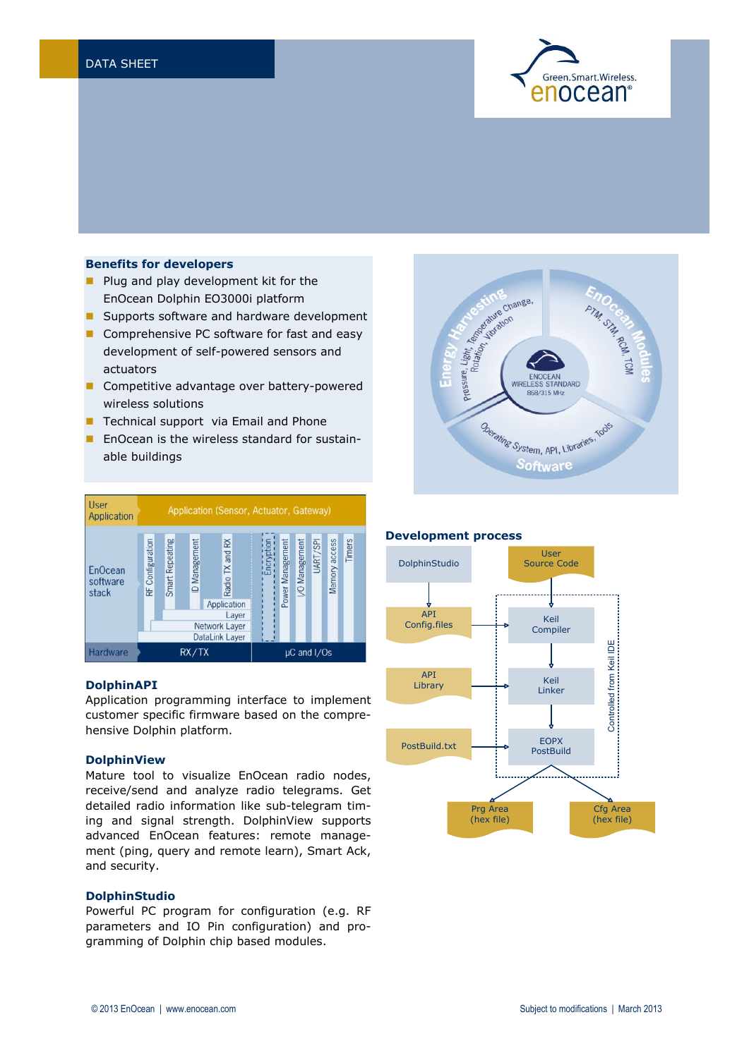

## **Benefits for developers**

- **Plug and play development kit for the** EnOcean Dolphin EO3000i platform
- **Supports software and hardware development**
- Comprehensive PC software for fast and easy development of self-powered sensors and actuators
- Competitive advantage over battery-powered wireless solutions
- Technical support via Email and Phone
- **En** Crean is the wireless standard for sustainable buildings



## **DolphinAPI**

Application programming interface to implement customer specific firmware based on the comprehensive Dolphin platform.

## **DolphinView**

Mature tool to visualize EnOcean radio nodes, receive/send and analyze radio telegrams. Get detailed radio information like sub-telegram timing and signal strength. DolphinView supports advanced EnOcean features: remote management (ping, query and remote learn), Smart Ack, and security.

#### **DolphinStudio**

Powerful PC program for configuration (e.g. RF parameters and IO Pin configuration) and programming of Dolphin chip based modules.



#### **Development process**